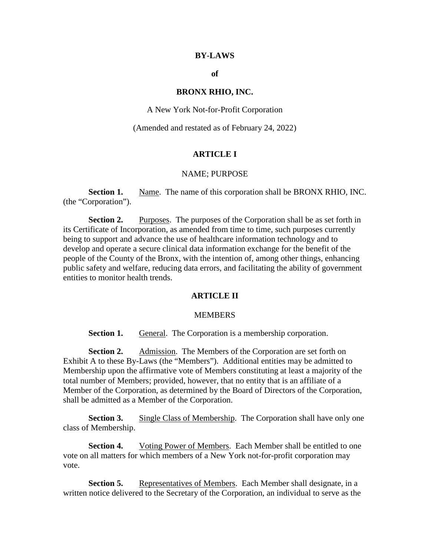#### **BY-LAWS**

## **of**

#### **BRONX RHIO, INC.**

A New York Not-for-Profit Corporation

(Amended and restated as of February 24, 2022)

## **ARTICLE I**

## NAME; PURPOSE

**Section 1.** Name. The name of this corporation shall be BRONX RHIO, INC. (the "Corporation").

**Section 2.** Purposes. The purposes of the Corporation shall be as set forth in its Certificate of Incorporation, as amended from time to time, such purposes currently being to support and advance the use of healthcare information technology and to develop and operate a secure clinical data information exchange for the benefit of the people of the County of the Bronx, with the intention of, among other things, enhancing public safety and welfare, reducing data errors, and facilitating the ability of government entities to monitor health trends.

## **ARTICLE II**

#### **MEMBERS**

**Section 1.** General. The Corporation is a membership corporation.

**Section 2.** Admission. The Members of the Corporation are set forth on Exhibit A to these By-Laws (the "Members"). Additional entities may be admitted to Membership upon the affirmative vote of Members constituting at least a majority of the total number of Members; provided, however, that no entity that is an affiliate of a Member of the Corporation, as determined by the Board of Directors of the Corporation, shall be admitted as a Member of the Corporation.

**Section 3.** Single Class of Membership. The Corporation shall have only one class of Membership.

**Section 4.** Voting Power of Members. Each Member shall be entitled to one vote on all matters for which members of a New York not-for-profit corporation may vote.

**Section 5.** Representatives of Members. Each Member shall designate, in a written notice delivered to the Secretary of the Corporation, an individual to serve as the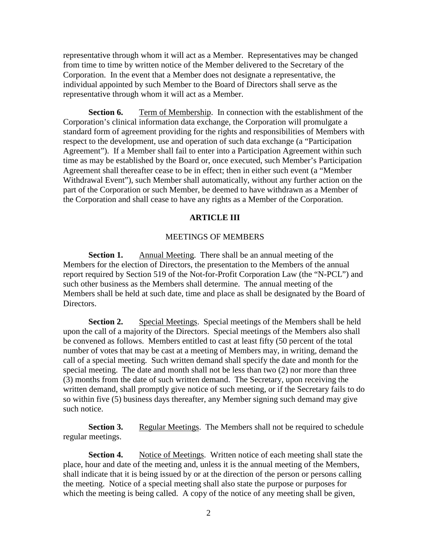representative through whom it will act as a Member. Representatives may be changed from time to time by written notice of the Member delivered to the Secretary of the Corporation. In the event that a Member does not designate a representative, the individual appointed by such Member to the Board of Directors shall serve as the representative through whom it will act as a Member.

**Section 6.** Term of Membership. In connection with the establishment of the Corporation's clinical information data exchange, the Corporation will promulgate a standard form of agreement providing for the rights and responsibilities of Members with respect to the development, use and operation of such data exchange (a "Participation Agreement"). If a Member shall fail to enter into a Participation Agreement within such time as may be established by the Board or, once executed, such Member's Participation Agreement shall thereafter cease to be in effect; then in either such event (a "Member Withdrawal Event"), such Member shall automatically, without any further action on the part of the Corporation or such Member, be deemed to have withdrawn as a Member of the Corporation and shall cease to have any rights as a Member of the Corporation.

#### **ARTICLE III**

#### MEETINGS OF MEMBERS

**Section 1.** Annual Meeting. There shall be an annual meeting of the Members for the election of Directors, the presentation to the Members of the annual report required by Section 519 of the Not-for-Profit Corporation Law (the "N-PCL") and such other business as the Members shall determine. The annual meeting of the Members shall be held at such date, time and place as shall be designated by the Board of Directors.

**Section 2.** Special Meetings. Special meetings of the Members shall be held upon the call of a majority of the Directors. Special meetings of the Members also shall be convened as follows. Members entitled to cast at least fifty (50 percent of the total number of votes that may be cast at a meeting of Members may, in writing, demand the call of a special meeting. Such written demand shall specify the date and month for the special meeting. The date and month shall not be less than two (2) nor more than three (3) months from the date of such written demand. The Secretary, upon receiving the written demand, shall promptly give notice of such meeting, or if the Secretary fails to do so within five (5) business days thereafter, any Member signing such demand may give such notice.

**Section 3.** Regular Meetings. The Members shall not be required to schedule regular meetings.

**Section 4.** Notice of Meetings. Written notice of each meeting shall state the place, hour and date of the meeting and, unless it is the annual meeting of the Members, shall indicate that it is being issued by or at the direction of the person or persons calling the meeting. Notice of a special meeting shall also state the purpose or purposes for which the meeting is being called. A copy of the notice of any meeting shall be given,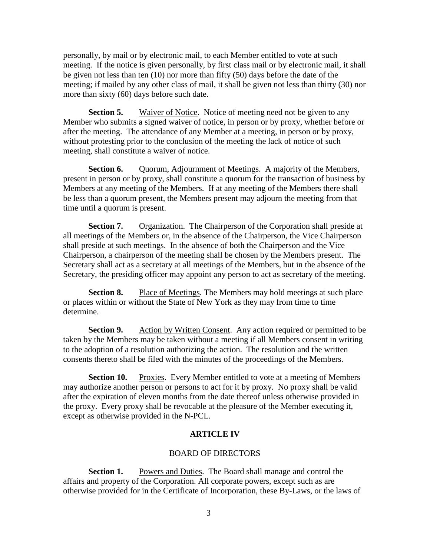personally, by mail or by electronic mail, to each Member entitled to vote at such meeting. If the notice is given personally, by first class mail or by electronic mail, it shall be given not less than ten (10) nor more than fifty (50) days before the date of the meeting; if mailed by any other class of mail, it shall be given not less than thirty (30) nor more than sixty (60) days before such date.

**Section 5.** Waiver of Notice. Notice of meeting need not be given to any Member who submits a signed waiver of notice, in person or by proxy, whether before or after the meeting. The attendance of any Member at a meeting, in person or by proxy, without protesting prior to the conclusion of the meeting the lack of notice of such meeting, shall constitute a waiver of notice.

**Section 6.** Quorum, Adjournment of Meetings. A majority of the Members, present in person or by proxy, shall constitute a quorum for the transaction of business by Members at any meeting of the Members. If at any meeting of the Members there shall be less than a quorum present, the Members present may adjourn the meeting from that time until a quorum is present.

**Section 7.** Organization. The Chairperson of the Corporation shall preside at all meetings of the Members or, in the absence of the Chairperson, the Vice Chairperson shall preside at such meetings. In the absence of both the Chairperson and the Vice Chairperson, a chairperson of the meeting shall be chosen by the Members present. The Secretary shall act as a secretary at all meetings of the Members, but in the absence of the Secretary, the presiding officer may appoint any person to act as secretary of the meeting.

**Section 8.** Place of Meetings. The Members may hold meetings at such place or places within or without the State of New York as they may from time to time determine.

**Section 9.** Action by Written Consent. Any action required or permitted to be taken by the Members may be taken without a meeting if all Members consent in writing to the adoption of a resolution authorizing the action. The resolution and the written consents thereto shall be filed with the minutes of the proceedings of the Members.

**Section 10.** Proxies. Every Member entitled to vote at a meeting of Members may authorize another person or persons to act for it by proxy. No proxy shall be valid after the expiration of eleven months from the date thereof unless otherwise provided in the proxy. Every proxy shall be revocable at the pleasure of the Member executing it, except as otherwise provided in the N-PCL.

## **ARTICLE IV**

## BOARD OF DIRECTORS

**Section 1.** Powers and Duties. The Board shall manage and control the affairs and property of the Corporation. All corporate powers, except such as are otherwise provided for in the Certificate of Incorporation, these By-Laws, or the laws of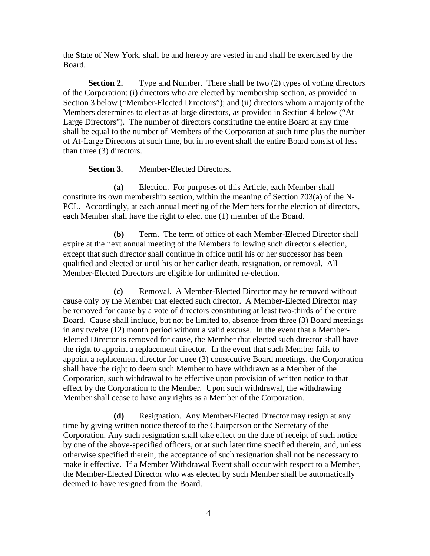the State of New York, shall be and hereby are vested in and shall be exercised by the Board.

**Section 2.** Type and Number. There shall be two (2) types of voting directors of the Corporation: (i) directors who are elected by membership section, as provided in Section 3 below ("Member-Elected Directors"); and (ii) directors whom a majority of the Members determines to elect as at large directors, as provided in Section 4 below ("At Large Directors"). The number of directors constituting the entire Board at any time shall be equal to the number of Members of the Corporation at such time plus the number of At-Large Directors at such time, but in no event shall the entire Board consist of less than three (3) directors.

# **Section 3.** Member-Elected Directors.

**(a)** Election. For purposes of this Article, each Member shall constitute its own membership section, within the meaning of Section 703(a) of the N-PCL. Accordingly, at each annual meeting of the Members for the election of directors, each Member shall have the right to elect one (1) member of the Board.

**(b)** Term. The term of office of each Member-Elected Director shall expire at the next annual meeting of the Members following such director's election, except that such director shall continue in office until his or her successor has been qualified and elected or until his or her earlier death, resignation, or removal. All Member-Elected Directors are eligible for unlimited re-election.

**(c)** Removal. A Member-Elected Director may be removed without cause only by the Member that elected such director. A Member-Elected Director may be removed for cause by a vote of directors constituting at least two-thirds of the entire Board. Cause shall include, but not be limited to, absence from three (3) Board meetings in any twelve (12) month period without a valid excuse. In the event that a Member-Elected Director is removed for cause, the Member that elected such director shall have the right to appoint a replacement director. In the event that such Member fails to appoint a replacement director for three (3) consecutive Board meetings, the Corporation shall have the right to deem such Member to have withdrawn as a Member of the Corporation, such withdrawal to be effective upon provision of written notice to that effect by the Corporation to the Member. Upon such withdrawal, the withdrawing Member shall cease to have any rights as a Member of the Corporation.

**(d)** Resignation. Any Member-Elected Director may resign at any time by giving written notice thereof to the Chairperson or the Secretary of the Corporation. Any such resignation shall take effect on the date of receipt of such notice by one of the above-specified officers, or at such later time specified therein, and, unless otherwise specified therein, the acceptance of such resignation shall not be necessary to make it effective. If a Member Withdrawal Event shall occur with respect to a Member, the Member-Elected Director who was elected by such Member shall be automatically deemed to have resigned from the Board.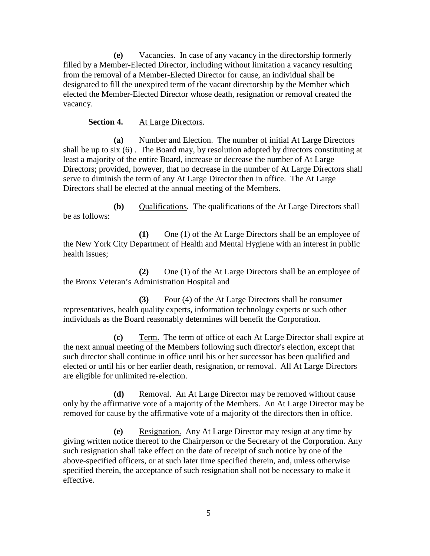**(e)** Vacancies. In case of any vacancy in the directorship formerly filled by a Member-Elected Director, including without limitation a vacancy resulting from the removal of a Member-Elected Director for cause, an individual shall be designated to fill the unexpired term of the vacant directorship by the Member which elected the Member-Elected Director whose death, resignation or removal created the vacancy.

## **Section 4.** At Large Directors.

**(a)** Number and Election. The number of initial At Large Directors shall be up to six (6) . The Board may, by resolution adopted by directors constituting at least a majority of the entire Board, increase or decrease the number of At Large Directors; provided, however, that no decrease in the number of At Large Directors shall serve to diminish the term of any At Large Director then in office. The At Large Directors shall be elected at the annual meeting of the Members.

**(b)** Qualifications. The qualifications of the At Large Directors shall be as follows:

**(1)** One (1) of the At Large Directors shall be an employee of the New York City Department of Health and Mental Hygiene with an interest in public health issues;

**(2)** One (1) of the At Large Directors shall be an employee of the Bronx Veteran's Administration Hospital and

**(3)** Four (4) of the At Large Directors shall be consumer representatives, health quality experts, information technology experts or such other individuals as the Board reasonably determines will benefit the Corporation.

**(c)** Term. The term of office of each At Large Director shall expire at the next annual meeting of the Members following such director's election, except that such director shall continue in office until his or her successor has been qualified and elected or until his or her earlier death, resignation, or removal. All At Large Directors are eligible for unlimited re-election.

**(d)** Removal. An At Large Director may be removed without cause only by the affirmative vote of a majority of the Members. An At Large Director may be removed for cause by the affirmative vote of a majority of the directors then in office.

**(e)** Resignation. Any At Large Director may resign at any time by giving written notice thereof to the Chairperson or the Secretary of the Corporation. Any such resignation shall take effect on the date of receipt of such notice by one of the above-specified officers, or at such later time specified therein, and, unless otherwise specified therein, the acceptance of such resignation shall not be necessary to make it effective.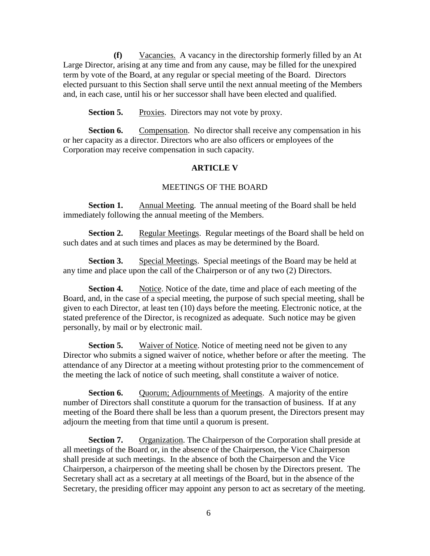**(f)** Vacancies. A vacancy in the directorship formerly filled by an At Large Director, arising at any time and from any cause, may be filled for the unexpired term by vote of the Board, at any regular or special meeting of the Board. Directors elected pursuant to this Section shall serve until the next annual meeting of the Members and, in each case, until his or her successor shall have been elected and qualified.

**Section 5.** Proxies. Directors may not vote by proxy.

**Section 6.** Compensation. No director shall receive any compensation in his or her capacity as a director. Directors who are also officers or employees of the Corporation may receive compensation in such capacity.

## **ARTICLE V**

#### MEETINGS OF THE BOARD

**Section 1.** Annual Meeting. The annual meeting of the Board shall be held immediately following the annual meeting of the Members.

**Section 2.** Regular Meetings. Regular meetings of the Board shall be held on such dates and at such times and places as may be determined by the Board.

**Section 3.** Special Meetings. Special meetings of the Board may be held at any time and place upon the call of the Chairperson or of any two (2) Directors.

**Section 4.** Notice. Notice of the date, time and place of each meeting of the Board, and, in the case of a special meeting, the purpose of such special meeting, shall be given to each Director, at least ten (10) days before the meeting. Electronic notice, at the stated preference of the Director, is recognized as adequate. Such notice may be given personally, by mail or by electronic mail.

**Section 5.** Waiver of Notice. Notice of meeting need not be given to any Director who submits a signed waiver of notice, whether before or after the meeting. The attendance of any Director at a meeting without protesting prior to the commencement of the meeting the lack of notice of such meeting, shall constitute a waiver of notice.

**Section 6.** Quorum; Adjournments of Meetings. A majority of the entire number of Directors shall constitute a quorum for the transaction of business. If at any meeting of the Board there shall be less than a quorum present, the Directors present may adjourn the meeting from that time until a quorum is present.

**Section 7.** Organization. The Chairperson of the Corporation shall preside at all meetings of the Board or, in the absence of the Chairperson, the Vice Chairperson shall preside at such meetings. In the absence of both the Chairperson and the Vice Chairperson, a chairperson of the meeting shall be chosen by the Directors present. The Secretary shall act as a secretary at all meetings of the Board, but in the absence of the Secretary, the presiding officer may appoint any person to act as secretary of the meeting.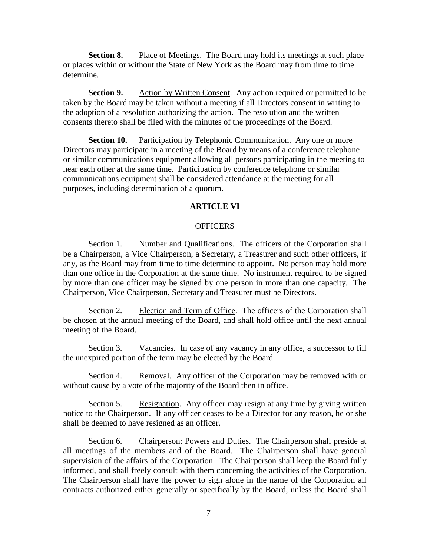**Section 8.** Place of Meetings. The Board may hold its meetings at such place or places within or without the State of New York as the Board may from time to time determine.

**Section 9.** Action by Written Consent. Any action required or permitted to be taken by the Board may be taken without a meeting if all Directors consent in writing to the adoption of a resolution authorizing the action. The resolution and the written consents thereto shall be filed with the minutes of the proceedings of the Board.

**Section 10.** Participation by Telephonic Communication. Any one or more Directors may participate in a meeting of the Board by means of a conference telephone or similar communications equipment allowing all persons participating in the meeting to hear each other at the same time. Participation by conference telephone or similar communications equipment shall be considered attendance at the meeting for all purposes, including determination of a quorum.

#### **ARTICLE VI**

## **OFFICERS**

Section 1. Number and Qualifications. The officers of the Corporation shall be a Chairperson, a Vice Chairperson, a Secretary, a Treasurer and such other officers, if any, as the Board may from time to time determine to appoint. No person may hold more than one office in the Corporation at the same time. No instrument required to be signed by more than one officer may be signed by one person in more than one capacity. The Chairperson, Vice Chairperson, Secretary and Treasurer must be Directors.

Section 2. Election and Term of Office. The officers of the Corporation shall be chosen at the annual meeting of the Board, and shall hold office until the next annual meeting of the Board.

Section 3. Vacancies. In case of any vacancy in any office, a successor to fill the unexpired portion of the term may be elected by the Board.

Section 4. Removal. Any officer of the Corporation may be removed with or without cause by a vote of the majority of the Board then in office.

Section 5. Resignation. Any officer may resign at any time by giving written notice to the Chairperson. If any officer ceases to be a Director for any reason, he or she shall be deemed to have resigned as an officer.

Section 6. Chairperson: Powers and Duties. The Chairperson shall preside at all meetings of the members and of the Board. The Chairperson shall have general supervision of the affairs of the Corporation. The Chairperson shall keep the Board fully informed, and shall freely consult with them concerning the activities of the Corporation. The Chairperson shall have the power to sign alone in the name of the Corporation all contracts authorized either generally or specifically by the Board, unless the Board shall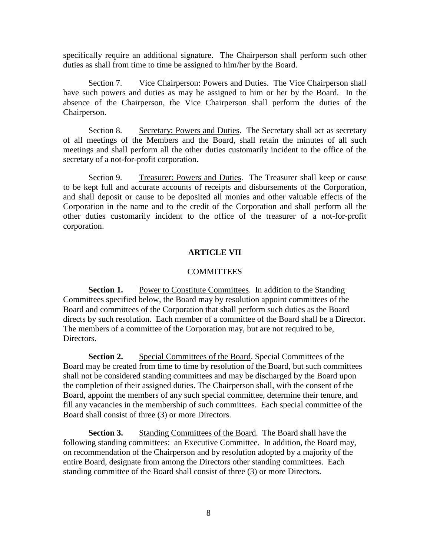specifically require an additional signature. The Chairperson shall perform such other duties as shall from time to time be assigned to him/her by the Board.

Section 7. Vice Chairperson: Powers and Duties. The Vice Chairperson shall have such powers and duties as may be assigned to him or her by the Board. In the absence of the Chairperson, the Vice Chairperson shall perform the duties of the Chairperson.

Section 8. Secretary: Powers and Duties. The Secretary shall act as secretary of all meetings of the Members and the Board, shall retain the minutes of all such meetings and shall perform all the other duties customarily incident to the office of the secretary of a not-for-profit corporation.

Section 9. Treasurer: Powers and Duties. The Treasurer shall keep or cause to be kept full and accurate accounts of receipts and disbursements of the Corporation, and shall deposit or cause to be deposited all monies and other valuable effects of the Corporation in the name and to the credit of the Corporation and shall perform all the other duties customarily incident to the office of the treasurer of a not-for-profit corporation.

## **ARTICLE VII**

## **COMMITTEES**

**Section 1.** Power to Constitute Committees. In addition to the Standing Committees specified below, the Board may by resolution appoint committees of the Board and committees of the Corporation that shall perform such duties as the Board directs by such resolution. Each member of a committee of the Board shall be a Director. The members of a committee of the Corporation may, but are not required to be, Directors.

**Section 2.** Special Committees of the Board. Special Committees of the Board may be created from time to time by resolution of the Board, but such committees shall not be considered standing committees and may be discharged by the Board upon the completion of their assigned duties. The Chairperson shall, with the consent of the Board, appoint the members of any such special committee, determine their tenure, and fill any vacancies in the membership of such committees. Each special committee of the Board shall consist of three (3) or more Directors.

**Section 3.** Standing Committees of the Board. The Board shall have the following standing committees: an Executive Committee. In addition, the Board may, on recommendation of the Chairperson and by resolution adopted by a majority of the entire Board, designate from among the Directors other standing committees. Each standing committee of the Board shall consist of three (3) or more Directors.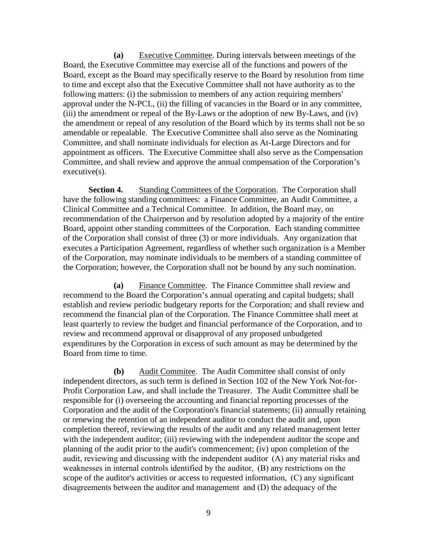**(a)** Executive Committee. During intervals between meetings of the Board, the Executive Committee may exercise all of the functions and powers of the Board, except as the Board may specifically reserve to the Board by resolution from time to time and except also that the Executive Committee shall not have authority as to the following matters: (i) the submission to members of any action requiring members' approval under the N-PCL, (ii) the filling of vacancies in the Board or in any committee, (iii) the amendment or repeal of the By-Laws or the adoption of new By-Laws, and (iv) the amendment or repeal of any resolution of the Board which by its terms shall not be so amendable or repealable. The Executive Committee shall also serve as the Nominating Committee, and shall nominate individuals for election as At-Large Directors and for appointment as officers. The Executive Committee shall also serve as the Compensation Committee, and shall review and approve the annual compensation of the Corporation's executive(s).

**Section 4.** Standing Committees of the Corporation. The Corporation shall have the following standing committees: a Finance Committee, an Audit Committee, a Clinical Committee and a Technical Committee. In addition, the Board may, on recommendation of the Chairperson and by resolution adopted by a majority of the entire Board, appoint other standing committees of the Corporation. Each standing committee of the Corporation shall consist of three (3) or more individuals. Any organization that executes a Participation Agreement, regardless of whether such organization is a Member of the Corporation, may nominate individuals to be members of a standing committee of the Corporation; however, the Corporation shall not be bound by any such nomination.

**(a)** Finance Committee. The Finance Committee shall review and recommend to the Board the Corporation's annual operating and capital budgets; shall establish and review periodic budgetary reports for the Corporation; and shall review and recommend the financial plan of the Corporation. The Finance Committee shall meet at least quarterly to review the budget and financial performance of the Corporation, and to review and recommend approval or disapproval of any proposed unbudgeted expenditures by the Corporation in excess of such amount as may be determined by the Board from time to time.

**(b)** Audit Commitee. The Audit Committee shall consist of only independent directors, as such term is defined in Section 102 of the New York Not-for-Profit Corporation Law, and shall include the Treasurer. The Audit Committee shall be responsible for (i) overseeing the accounting and financial reporting processes of the Corporation and the audit of the Corporation's financial statements; (ii) annually retaining or renewing the retention of an independent auditor to conduct the audit and, upon completion thereof, reviewing the results of the audit and any related management letter with the independent auditor; (iii) reviewing with the independent auditor the scope and planning of the audit prior to the audit's commencement; (iv) upon completion of the audit, reviewing and discussing with the independent auditor  (A) any material risks and weaknesses in internal controls identified by the auditor,  (B) any restrictions on the scope of the auditor's activities or access to requested information,  (C) any significant disagreements between the auditor and management  and (D) the adequacy of the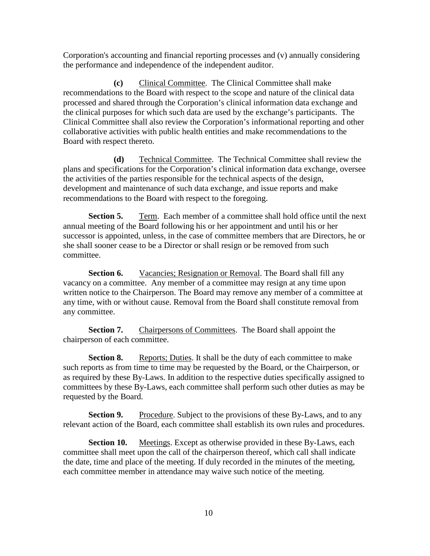Corporation's accounting and financial reporting processes and (v) annually considering the performance and independence of the independent auditor.

**(c)** Clinical Committee. The Clinical Committee shall make recommendations to the Board with respect to the scope and nature of the clinical data processed and shared through the Corporation's clinical information data exchange and the clinical purposes for which such data are used by the exchange's participants. The Clinical Committee shall also review the Corporation's informational reporting and other collaborative activities with public health entities and make recommendations to the Board with respect thereto.

**(d)** Technical Committee. The Technical Committee shall review the plans and specifications for the Corporation's clinical information data exchange, oversee the activities of the parties responsible for the technical aspects of the design, development and maintenance of such data exchange, and issue reports and make recommendations to the Board with respect to the foregoing.

**Section 5.** Term. Each member of a committee shall hold office until the next annual meeting of the Board following his or her appointment and until his or her successor is appointed, unless, in the case of committee members that are Directors, he or she shall sooner cease to be a Director or shall resign or be removed from such committee.

**Section 6.** Vacancies; Resignation or Removal. The Board shall fill any vacancy on a committee. Any member of a committee may resign at any time upon written notice to the Chairperson. The Board may remove any member of a committee at any time, with or without cause. Removal from the Board shall constitute removal from any committee.

**Section 7.** Chairpersons of Committees. The Board shall appoint the chairperson of each committee.

**Section 8.** Reports; Duties. It shall be the duty of each committee to make such reports as from time to time may be requested by the Board, or the Chairperson, or as required by these By-Laws. In addition to the respective duties specifically assigned to committees by these By-Laws, each committee shall perform such other duties as may be requested by the Board.

**Section 9.** Procedure. Subject to the provisions of these By-Laws, and to any relevant action of the Board, each committee shall establish its own rules and procedures.

**Section 10.** Meetings. Except as otherwise provided in these By-Laws, each committee shall meet upon the call of the chairperson thereof, which call shall indicate the date, time and place of the meeting. If duly recorded in the minutes of the meeting, each committee member in attendance may waive such notice of the meeting.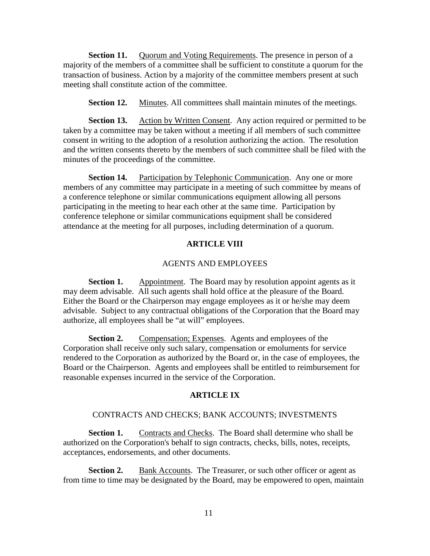**Section 11.** Quorum and Voting Requirements. The presence in person of a majority of the members of a committee shall be sufficient to constitute a quorum for the transaction of business. Action by a majority of the committee members present at such meeting shall constitute action of the committee.

**Section 12.** Minutes. All committees shall maintain minutes of the meetings.

**Section 13.** Action by Written Consent. Any action required or permitted to be taken by a committee may be taken without a meeting if all members of such committee consent in writing to the adoption of a resolution authorizing the action. The resolution and the written consents thereto by the members of such committee shall be filed with the minutes of the proceedings of the committee.

**Section 14.** Participation by Telephonic Communication. Any one or more members of any committee may participate in a meeting of such committee by means of a conference telephone or similar communications equipment allowing all persons participating in the meeting to hear each other at the same time. Participation by conference telephone or similar communications equipment shall be considered attendance at the meeting for all purposes, including determination of a quorum.

#### **ARTICLE VIII**

#### AGENTS AND EMPLOYEES

**Section 1.** Appointment. The Board may by resolution appoint agents as it may deem advisable. All such agents shall hold office at the pleasure of the Board. Either the Board or the Chairperson may engage employees as it or he/she may deem advisable. Subject to any contractual obligations of the Corporation that the Board may authorize, all employees shall be "at will" employees.

**Section 2.** Compensation; Expenses. Agents and employees of the Corporation shall receive only such salary, compensation or emoluments for service rendered to the Corporation as authorized by the Board or, in the case of employees, the Board or the Chairperson. Agents and employees shall be entitled to reimbursement for reasonable expenses incurred in the service of the Corporation.

## **ARTICLE IX**

#### CONTRACTS AND CHECKS; BANK ACCOUNTS; INVESTMENTS

**Section 1.** Contracts and Checks. The Board shall determine who shall be authorized on the Corporation's behalf to sign contracts, checks, bills, notes, receipts, acceptances, endorsements, and other documents.

**Section 2.** Bank Accounts. The Treasurer, or such other officer or agent as from time to time may be designated by the Board, may be empowered to open, maintain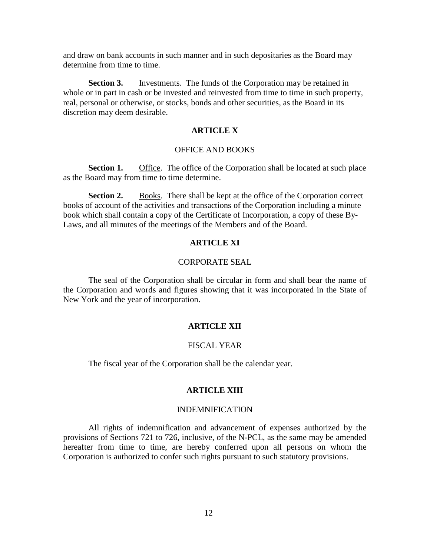and draw on bank accounts in such manner and in such depositaries as the Board may determine from time to time.

**Section 3.** Investments. The funds of the Corporation may be retained in whole or in part in cash or be invested and reinvested from time to time in such property, real, personal or otherwise, or stocks, bonds and other securities, as the Board in its discretion may deem desirable.

#### **ARTICLE X**

#### OFFICE AND BOOKS

**Section 1.** Office. The office of the Corporation shall be located at such place as the Board may from time to time determine.

**Section 2.** Books. There shall be kept at the office of the Corporation correct books of account of the activities and transactions of the Corporation including a minute book which shall contain a copy of the Certificate of Incorporation, a copy of these By-Laws, and all minutes of the meetings of the Members and of the Board.

## **ARTICLE XI**

#### CORPORATE SEAL

The seal of the Corporation shall be circular in form and shall bear the name of the Corporation and words and figures showing that it was incorporated in the State of New York and the year of incorporation.

#### **ARTICLE XII**

#### FISCAL YEAR

The fiscal year of the Corporation shall be the calendar year.

#### **ARTICLE XIII**

#### INDEMNIFICATION

All rights of indemnification and advancement of expenses authorized by the provisions of Sections 721 to 726, inclusive, of the N-PCL, as the same may be amended hereafter from time to time, are hereby conferred upon all persons on whom the Corporation is authorized to confer such rights pursuant to such statutory provisions.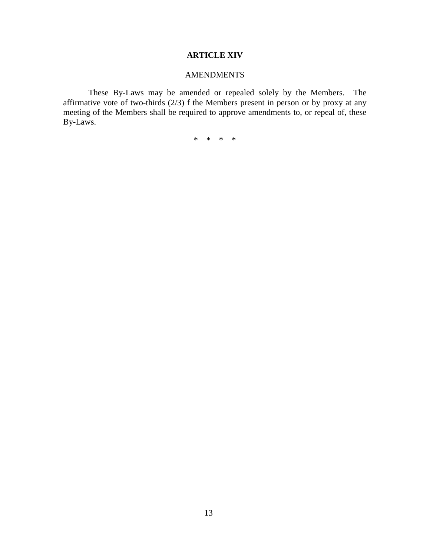# **ARTICLE XIV**

# AMENDMENTS

These By-Laws may be amended or repealed solely by the Members. The affirmative vote of two-thirds  $(2/3)$  f the Members present in person or by proxy at any meeting of the Members shall be required to approve amendments to, or repeal of, these By-Laws.

\* \* \* \*